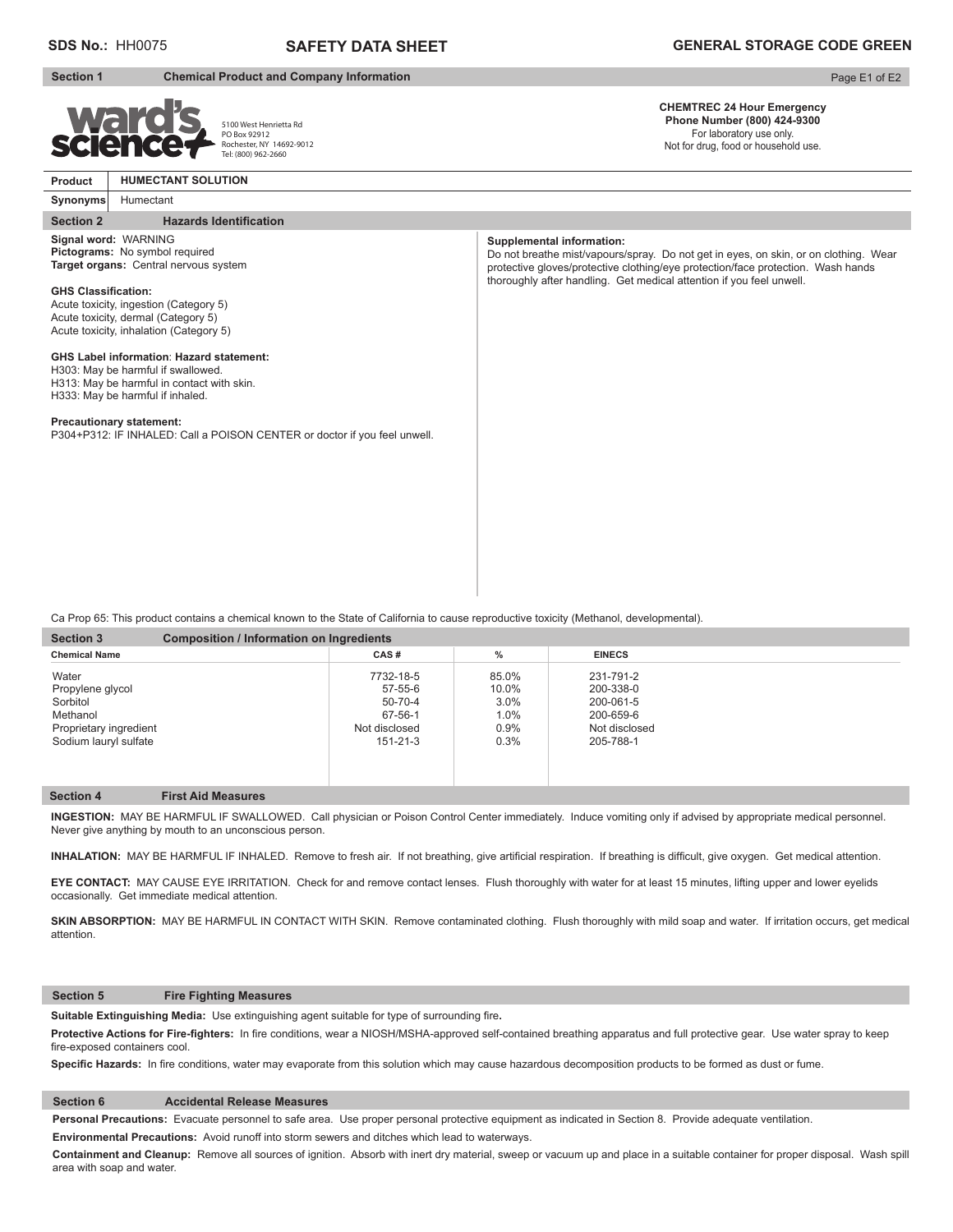# **SDS No.:** HH0075 **SAFETY DATA SHEET GENERAL STORAGE CODE GREEN**

Page E1 of E2

**CHEMTREC 24 Hour Emergency Phone Number (800) 424-9300**  For laboratory use only. Not for drug, food or household use.

**Product**

**Synonyms**

# **Section 1 Chemical Product and Company Information**



**Signal word:** WARNING **Pictograms:** No symbol required **Target organs:** Central nervous system

5100 West Henrietta Rd PO Box 92912 Rochester, NY 14692-9012 Tel: (800) 962-2660

**Supplemental information:** Do not breathe mist/vapours/spray. Do not get in eyes, on skin, or on clothing. Wear protective gloves/protective clothing/eye protection/face protection. Wash hands thoroughly after handling. Get medical attention if you feel unwell.

**GHS Classification:** Acute toxicity, ingestion (Category 5) Acute toxicity, dermal (Category 5) Acute toxicity, inhalation (Category 5)

Humectant

**Section 2** Hazards Identification

**HUMECTANT SOLUTION**

#### **GHS Label information**: **Hazard statement:**

H303: May be harmful if swallowed. H313: May be harmful in contact with skin. H333: May be harmful if inhaled.

# **Precautionary statement:**

P304+P312: IF INHALED: Call a POISON CENTER or doctor if you feel unwell.

Ca Prop 65: This product contains a chemical known to the State of California to cause reproductive toxicity (Methanol, developmental).

| <b>Section 3</b><br><b>Composition / Information on Ingredients</b> |               |         |               |  |  |  |
|---------------------------------------------------------------------|---------------|---------|---------------|--|--|--|
| <b>Chemical Name</b>                                                | CAS#          | %       | <b>EINECS</b> |  |  |  |
| Water                                                               | 7732-18-5     | 85.0%   | 231-791-2     |  |  |  |
| Propylene glycol                                                    | 57-55-6       | 10.0%   | 200-338-0     |  |  |  |
| Sorbitol                                                            | $50 - 70 - 4$ | 3.0%    | 200-061-5     |  |  |  |
| Methanol                                                            | 67-56-1       | $1.0\%$ | 200-659-6     |  |  |  |
| Proprietary ingredient                                              | Not disclosed | 0.9%    | Not disclosed |  |  |  |
| Sodium lauryl sulfate                                               | 151-21-3      | 0.3%    | 205-788-1     |  |  |  |
|                                                                     |               |         |               |  |  |  |
|                                                                     |               |         |               |  |  |  |

### **Section 4 First Aid Measures**

**INGESTION:** MAY BE HARMFUL IF SWALLOWED. Call physician or Poison Control Center immediately. Induce vomiting only if advised by appropriate medical personnel. Never give anything by mouth to an unconscious person.

INHALATION: MAY BE HARMFUL IF INHALED. Remove to fresh air. If not breathing, give artificial respiration. If breathing is difficult, give oxygen. Get medical attention.

**EYE CONTACT:** MAY CAUSE EYE IRRITATION. Check for and remove contact lenses. Flush thoroughly with water for at least 15 minutes, lifting upper and lower eyelids occasionally. Get immediate medical attention.

SKIN ABSORPTION: MAY BE HARMFUL IN CONTACT WITH SKIN. Remove contaminated clothing. Flush thoroughly with mild soap and water. If irritation occurs, get medical attention.

#### **Section 5 Fire Fighting Measures**

Suitable Extinguishing Media: Use extinguishing agent suitable for type of surrounding fire.

Protective Actions for Fire-fighters: In fire conditions, wear a NIOSH/MSHA-approved self-contained breathing apparatus and full protective gear. Use water spray to keep fire-exposed containers cool.

Specific Hazards: In fire conditions, water may evaporate from this solution which may cause hazardous decomposition products to be formed as dust or fume.

# **Section 6 Accidental Release Measures**

**Personal Precautions:** Evacuate personnel to safe area. Use proper personal protective equipment as indicated in Section 8. Provide adequate ventilation.

**Environmental Precautions:** Avoid runoff into storm sewers and ditches which lead to waterways.

**Containment and Cleanup:** Remove all sources of ignition. Absorb with inert dry material, sweep or vacuum up and place in a suitable container for proper disposal. Wash spill area with soap and water.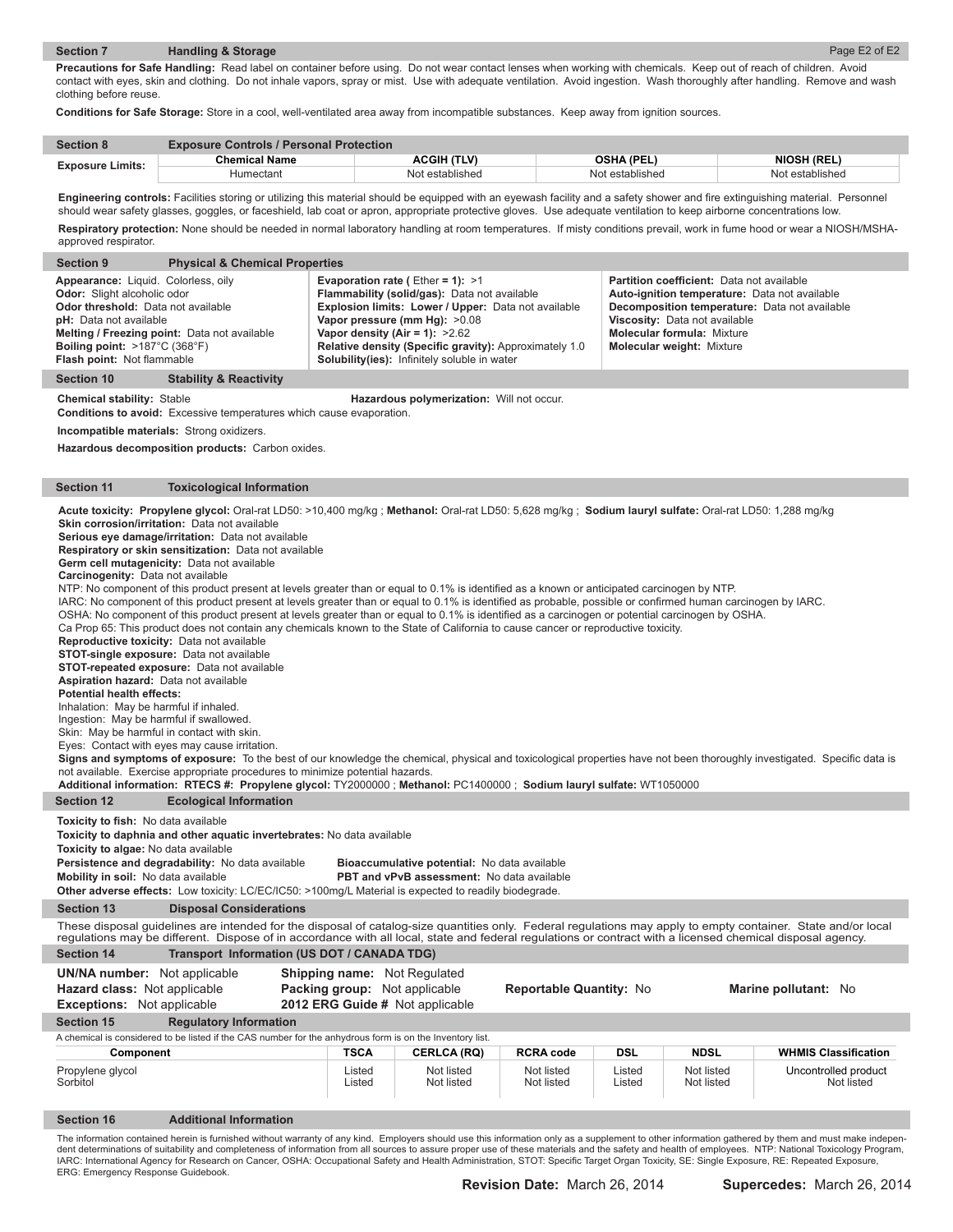# **Section 7 Handling & Storage**

**Precautions for Safe Handling:** Read label on container before using. Do not wear contact lenses when working with chemicals. Keep out of reach of children. Avoid contact with eyes, skin and clothing. Do not inhale vapors, spray or mist. Use with adequate ventilation. Avoid ingestion. Wash thoroughly after handling. Remove and wash clothing before reuse.

**Conditions for Safe Storage:** Store in a cool, well-ventilated area away from incompatible substances. Keep away from ignition sources.

| <b>Section 8</b>        | <b>Exposure Controls / Personal Protection</b> |                    |                   |                    |  |  |
|-------------------------|------------------------------------------------|--------------------|-------------------|--------------------|--|--|
| <b>Exposure Limits:</b> | <b>Chemical Name</b>                           | <b>ACGIH (TLV)</b> | <b>OSHA (PEL)</b> | <b>NIOSH (REL)</b> |  |  |
|                         | Humectant                                      | Not established    | Not established   | Not established    |  |  |

Engineering controls: Facilities storing or utilizing this material should be equipped with an eyewash facility and a safety shower and fire extinguishing material. Personnel should wear safety glasses, goggles, or faceshield, lab coat or apron, appropriate protective gloves. Use adequate ventilation to keep airborne concentrations low. Respiratory protection: None should be needed in normal laboratory handling at room temperatures. If misty conditions prevail, work in fume hood or wear a NIOSH/MSHA-

| approved respirator.                                                                                                                                                                                                          |                                                                                                                                                                                                                                                                                                                                                                                                                                                                                                                                                                                                                                                                                                                                                                                                                                                                                                                                                                                                                                                                                                                                                                                                                                                                                                                                                                                                                                                                                                                                                                                                                          |                                                                      |                                                                                                                                                                                                                                                                                                                          |                          |                  |                                                                                                                                                                                                      |                                               |
|-------------------------------------------------------------------------------------------------------------------------------------------------------------------------------------------------------------------------------|--------------------------------------------------------------------------------------------------------------------------------------------------------------------------------------------------------------------------------------------------------------------------------------------------------------------------------------------------------------------------------------------------------------------------------------------------------------------------------------------------------------------------------------------------------------------------------------------------------------------------------------------------------------------------------------------------------------------------------------------------------------------------------------------------------------------------------------------------------------------------------------------------------------------------------------------------------------------------------------------------------------------------------------------------------------------------------------------------------------------------------------------------------------------------------------------------------------------------------------------------------------------------------------------------------------------------------------------------------------------------------------------------------------------------------------------------------------------------------------------------------------------------------------------------------------------------------------------------------------------------|----------------------------------------------------------------------|--------------------------------------------------------------------------------------------------------------------------------------------------------------------------------------------------------------------------------------------------------------------------------------------------------------------------|--------------------------|------------------|------------------------------------------------------------------------------------------------------------------------------------------------------------------------------------------------------|-----------------------------------------------|
| <b>Section 9</b>                                                                                                                                                                                                              | <b>Physical &amp; Chemical Properties</b>                                                                                                                                                                                                                                                                                                                                                                                                                                                                                                                                                                                                                                                                                                                                                                                                                                                                                                                                                                                                                                                                                                                                                                                                                                                                                                                                                                                                                                                                                                                                                                                |                                                                      |                                                                                                                                                                                                                                                                                                                          |                          |                  |                                                                                                                                                                                                      |                                               |
| Appearance: Liquid. Colorless, oily<br>Odor: Slight alcoholic odor<br>Odor threshold: Data not available<br><b>pH:</b> Data not available<br>Boiling point: $>187^{\circ}$ C (368 $^{\circ}$ F)<br>Flash point: Not flammable | Melting / Freezing point: Data not available                                                                                                                                                                                                                                                                                                                                                                                                                                                                                                                                                                                                                                                                                                                                                                                                                                                                                                                                                                                                                                                                                                                                                                                                                                                                                                                                                                                                                                                                                                                                                                             |                                                                      | Evaporation rate (Ether = 1): $>1$<br>Flammability (solid/gas): Data not available<br>Explosion limits: Lower / Upper: Data not available<br>Vapor pressure (mm Hg): >0.08<br>Vapor density (Air = 1): $>2.62$<br>Relative density (Specific gravity): Approximately 1.0<br>Solubility(ies): Infinitely soluble in water |                          |                  | Partition coefficient: Data not available<br>Auto-ignition temperature: Data not available<br>Viscosity: Data not available<br><b>Molecular formula: Mixture</b><br><b>Molecular weight: Mixture</b> | Decomposition temperature: Data not available |
| <b>Section 10</b>                                                                                                                                                                                                             | <b>Stability &amp; Reactivity</b>                                                                                                                                                                                                                                                                                                                                                                                                                                                                                                                                                                                                                                                                                                                                                                                                                                                                                                                                                                                                                                                                                                                                                                                                                                                                                                                                                                                                                                                                                                                                                                                        |                                                                      |                                                                                                                                                                                                                                                                                                                          |                          |                  |                                                                                                                                                                                                      |                                               |
| <b>Chemical stability: Stable</b>                                                                                                                                                                                             |                                                                                                                                                                                                                                                                                                                                                                                                                                                                                                                                                                                                                                                                                                                                                                                                                                                                                                                                                                                                                                                                                                                                                                                                                                                                                                                                                                                                                                                                                                                                                                                                                          |                                                                      | Hazardous polymerization: Will not occur.                                                                                                                                                                                                                                                                                |                          |                  |                                                                                                                                                                                                      |                                               |
|                                                                                                                                                                                                                               | <b>Conditions to avoid:</b> Excessive temperatures which cause evaporation.                                                                                                                                                                                                                                                                                                                                                                                                                                                                                                                                                                                                                                                                                                                                                                                                                                                                                                                                                                                                                                                                                                                                                                                                                                                                                                                                                                                                                                                                                                                                              |                                                                      |                                                                                                                                                                                                                                                                                                                          |                          |                  |                                                                                                                                                                                                      |                                               |
|                                                                                                                                                                                                                               | Incompatible materials: Strong oxidizers.                                                                                                                                                                                                                                                                                                                                                                                                                                                                                                                                                                                                                                                                                                                                                                                                                                                                                                                                                                                                                                                                                                                                                                                                                                                                                                                                                                                                                                                                                                                                                                                |                                                                      |                                                                                                                                                                                                                                                                                                                          |                          |                  |                                                                                                                                                                                                      |                                               |
|                                                                                                                                                                                                                               | Hazardous decomposition products: Carbon oxides.                                                                                                                                                                                                                                                                                                                                                                                                                                                                                                                                                                                                                                                                                                                                                                                                                                                                                                                                                                                                                                                                                                                                                                                                                                                                                                                                                                                                                                                                                                                                                                         |                                                                      |                                                                                                                                                                                                                                                                                                                          |                          |                  |                                                                                                                                                                                                      |                                               |
| <b>Section 11</b>                                                                                                                                                                                                             | <b>Toxicological Information</b>                                                                                                                                                                                                                                                                                                                                                                                                                                                                                                                                                                                                                                                                                                                                                                                                                                                                                                                                                                                                                                                                                                                                                                                                                                                                                                                                                                                                                                                                                                                                                                                         |                                                                      |                                                                                                                                                                                                                                                                                                                          |                          |                  |                                                                                                                                                                                                      |                                               |
| Carcinogenity: Data not available<br>Aspiration hazard: Data not available<br><b>Potential health effects:</b><br>Inhalation: May be harmful if inhaled.<br>Ingestion: May be harmful if swallowed.                           | Acute toxicity: Propylene glycol: Oral-rat LD50: >10,400 mg/kg; Methanol: Oral-rat LD50: 5,628 mg/kg; Sodium lauryl sulfate: Oral-rat LD50: 1,288 mg/kg<br>Skin corrosion/irritation: Data not available<br>Serious eye damage/irritation: Data not available<br>Respiratory or skin sensitization: Data not available<br>Germ cell mutagenicity: Data not available<br>NTP: No component of this product present at levels greater than or equal to 0.1% is identified as a known or anticipated carcinogen by NTP.<br>IARC: No component of this product present at levels greater than or equal to 0.1% is identified as probable, possible or confirmed human carcinogen by IARC.<br>OSHA: No component of this product present at levels greater than or equal to 0.1% is identified as a carcinogen or potential carcinogen by OSHA.<br>Ca Prop 65: This product does not contain any chemicals known to the State of California to cause cancer or reproductive toxicity.<br>Reproductive toxicity: Data not available<br><b>STOT-single exposure:</b> Data not available<br><b>STOT-repeated exposure:</b> Data not available<br>Skin: May be harmful in contact with skin.<br>Eyes: Contact with eyes may cause irritation.<br>Signs and symptoms of exposure: To the best of our knowledge the chemical, physical and toxicological properties have not been thoroughly investigated. Specific data is<br>not available. Exercise appropriate procedures to minimize potential hazards.<br>Additional information: RTECS #: Propylene glycol: TY2000000; Methanol: PC1400000; Sodium lauryl sulfate: WT1050000 |                                                                      |                                                                                                                                                                                                                                                                                                                          |                          |                  |                                                                                                                                                                                                      |                                               |
| <b>Section 12</b>                                                                                                                                                                                                             | <b>Ecological Information</b>                                                                                                                                                                                                                                                                                                                                                                                                                                                                                                                                                                                                                                                                                                                                                                                                                                                                                                                                                                                                                                                                                                                                                                                                                                                                                                                                                                                                                                                                                                                                                                                            |                                                                      |                                                                                                                                                                                                                                                                                                                          |                          |                  |                                                                                                                                                                                                      |                                               |
| Toxicity to fish: No data available<br>Toxicity to algae: No data available<br>Mobility in soil: No data available                                                                                                            | Toxicity to daphnia and other aquatic invertebrates: No data available<br>Persistence and degradability: No data available<br><b>Other adverse effects:</b> Low toxicity: LC/EC/IC50: >100mg/L Material is expected to readily biodegrade.                                                                                                                                                                                                                                                                                                                                                                                                                                                                                                                                                                                                                                                                                                                                                                                                                                                                                                                                                                                                                                                                                                                                                                                                                                                                                                                                                                               |                                                                      | Bioaccumulative potential: No data available<br>PBT and vPvB assessment: No data available                                                                                                                                                                                                                               |                          |                  |                                                                                                                                                                                                      |                                               |
| <b>Section 13</b>                                                                                                                                                                                                             | <b>Disposal Considerations</b>                                                                                                                                                                                                                                                                                                                                                                                                                                                                                                                                                                                                                                                                                                                                                                                                                                                                                                                                                                                                                                                                                                                                                                                                                                                                                                                                                                                                                                                                                                                                                                                           |                                                                      |                                                                                                                                                                                                                                                                                                                          |                          |                  |                                                                                                                                                                                                      |                                               |
|                                                                                                                                                                                                                               | These disposal quidelines are intended for the disposal of catalog-size quantities only. Federal regulations may apply to empty container. State and/or local<br>regulations may be different. Dispose of in accordance with all local, state and federal regulations or contract with a licensed chemical disposal agency.                                                                                                                                                                                                                                                                                                                                                                                                                                                                                                                                                                                                                                                                                                                                                                                                                                                                                                                                                                                                                                                                                                                                                                                                                                                                                              |                                                                      |                                                                                                                                                                                                                                                                                                                          |                          |                  |                                                                                                                                                                                                      |                                               |
| <b>Section 14</b>                                                                                                                                                                                                             | Transport Information (US DOT / CANADA TDG)                                                                                                                                                                                                                                                                                                                                                                                                                                                                                                                                                                                                                                                                                                                                                                                                                                                                                                                                                                                                                                                                                                                                                                                                                                                                                                                                                                                                                                                                                                                                                                              |                                                                      |                                                                                                                                                                                                                                                                                                                          |                          |                  |                                                                                                                                                                                                      |                                               |
| <b>UN/NA number:</b> Not applicable<br>Hazard class: Not applicable<br><b>Exceptions:</b> Not applicable                                                                                                                      |                                                                                                                                                                                                                                                                                                                                                                                                                                                                                                                                                                                                                                                                                                                                                                                                                                                                                                                                                                                                                                                                                                                                                                                                                                                                                                                                                                                                                                                                                                                                                                                                                          | <b>Shipping name:</b> Not Regulated<br>Packing group: Not applicable | 2012 ERG Guide # Not applicable                                                                                                                                                                                                                                                                                          | Reportable Quantity: No  |                  |                                                                                                                                                                                                      | Marine pollutant: No                          |
| <b>Section 15</b>                                                                                                                                                                                                             | <b>Regulatory Information</b>                                                                                                                                                                                                                                                                                                                                                                                                                                                                                                                                                                                                                                                                                                                                                                                                                                                                                                                                                                                                                                                                                                                                                                                                                                                                                                                                                                                                                                                                                                                                                                                            |                                                                      |                                                                                                                                                                                                                                                                                                                          |                          |                  |                                                                                                                                                                                                      |                                               |
|                                                                                                                                                                                                                               | A chemical is considered to be listed if the CAS number for the anhydrous form is on the Inventory list.                                                                                                                                                                                                                                                                                                                                                                                                                                                                                                                                                                                                                                                                                                                                                                                                                                                                                                                                                                                                                                                                                                                                                                                                                                                                                                                                                                                                                                                                                                                 |                                                                      |                                                                                                                                                                                                                                                                                                                          |                          |                  |                                                                                                                                                                                                      |                                               |
| Component                                                                                                                                                                                                                     |                                                                                                                                                                                                                                                                                                                                                                                                                                                                                                                                                                                                                                                                                                                                                                                                                                                                                                                                                                                                                                                                                                                                                                                                                                                                                                                                                                                                                                                                                                                                                                                                                          | <b>TSCA</b>                                                          | <b>CERLCA (RQ)</b>                                                                                                                                                                                                                                                                                                       | <b>RCRA code</b>         | DSL              | <b>NDSL</b>                                                                                                                                                                                          | <b>WHMIS Classification</b>                   |
| Propylene glycol<br>Sorbitol                                                                                                                                                                                                  |                                                                                                                                                                                                                                                                                                                                                                                                                                                                                                                                                                                                                                                                                                                                                                                                                                                                                                                                                                                                                                                                                                                                                                                                                                                                                                                                                                                                                                                                                                                                                                                                                          | Listed<br>Listed                                                     | Not listed<br>Not listed                                                                                                                                                                                                                                                                                                 | Not listed<br>Not listed | Listed<br>Listed | Not listed<br>Not listed                                                                                                                                                                             | Uncontrolled product<br>Not listed            |
|                                                                                                                                                                                                                               |                                                                                                                                                                                                                                                                                                                                                                                                                                                                                                                                                                                                                                                                                                                                                                                                                                                                                                                                                                                                                                                                                                                                                                                                                                                                                                                                                                                                                                                                                                                                                                                                                          |                                                                      |                                                                                                                                                                                                                                                                                                                          |                          |                  |                                                                                                                                                                                                      |                                               |
| <b>Section 16</b>                                                                                                                                                                                                             | <b>Additional Information</b>                                                                                                                                                                                                                                                                                                                                                                                                                                                                                                                                                                                                                                                                                                                                                                                                                                                                                                                                                                                                                                                                                                                                                                                                                                                                                                                                                                                                                                                                                                                                                                                            |                                                                      |                                                                                                                                                                                                                                                                                                                          |                          |                  |                                                                                                                                                                                                      |                                               |

The information contained herein is furnished without warranty of any kind. Employers should use this information only as a supplement to other information gathered by them and must make independent determinations of suitability and completeness of information from all sources to assure proper use of these materials and the safety and health of employees. NTP: National Toxicology Program, IARC: International Agency for Research on Cancer, OSHA: Occupational Safety and Health Administration, STOT: Specific Target Organ Toxicity, SE: Single Exposure, RE: Repeated Exposure,<br>ERG: Emergency Response Guidebook.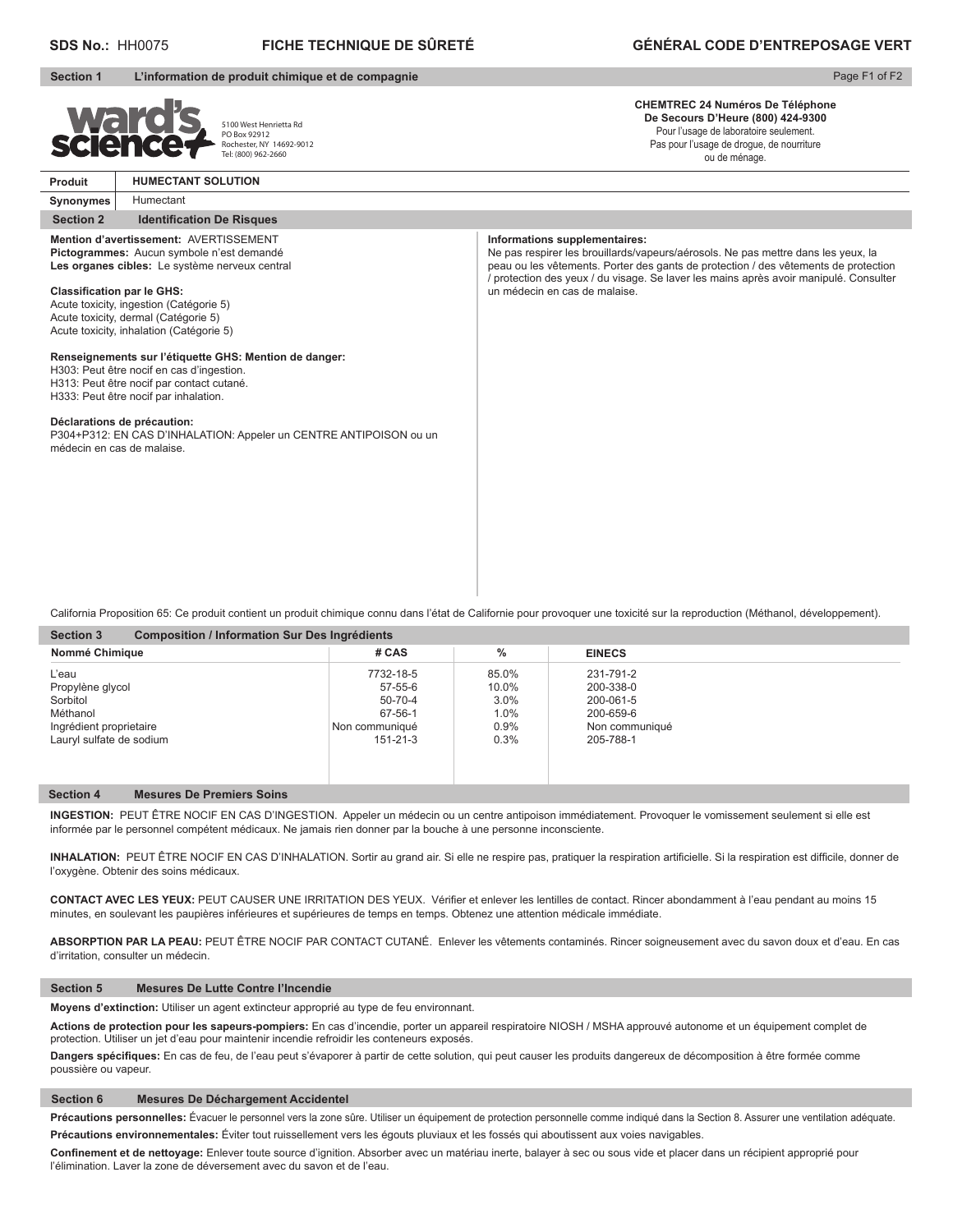# **SDS No.:** HH0075 **FICHE TECHNIQUE DE SÛRETÉ GÉNÉRAL CODE D'ENTREPOSAGE VERT**

## **Section 1 L'information de produit chimique et de compagnie**

## Page F1 of F2

**CHEMTREC 24 Numéros De Téléphone De Secours D'Heure (800) 424-9300** Pour l'usage de laboratoire seulement.

Pas pour l'usage de drogue, de nourriture ou de ménage.

5100 West Henrietta Rd PO Box 92912 Rochester, NY 14692-9012 Tel: (800) 962-2660 **Produit HUMECTANT SOLUTION**

### **Synonymes Section 2** Identification De Risques Humectant

# **Mention d'avertissement:** AVERTISSEMENT

**Pictogrammes:** Aucun symbole n'est demandé **Les organes cibles:** Le système nerveux central

### **Classification par le GHS:**

Acute toxicity, ingestion (Catégorie 5) Acute toxicity, dermal (Catégorie 5) Acute toxicity, inhalation (Catégorie 5)

## **Renseignements sur l'étiquette GHS: Mention de danger:**

H303: Peut être nocif en cas d'ingestion.

H313: Peut être nocif par contact cutané.

H333: Peut être nocif par inhalation.

# **Déclarations de précaution:**

P304+P312: EN CAS D'INHALATION: Appeler un CENTRE ANTIPOISON ou un médecin en cas de malaise.

#### **Informations supplementaires:**

Ne pas respirer les brouillards/vapeurs/aérosols. Ne pas mettre dans les yeux, la peau ou les vêtements. Porter des gants de protection / des vêtements de protection / protection des yeux / du visage. Se laver les mains après avoir manipulé. Consulter un médecin en cas de malaise.

California Proposition 65: Ce produit contient un produit chimique connu dans l'état de Californie pour provoquer une toxicité sur la reproduction (Méthanol, développement).

| Nommé Chimique           | # CAS          | $\%$  | <b>EINECS</b>  |  |
|--------------------------|----------------|-------|----------------|--|
| L'eau                    | 7732-18-5      | 85.0% | 231-791-2      |  |
| Propylène glycol         | 57-55-6        | 10.0% | 200-338-0      |  |
| Sorbitol                 | 50-70-4        | 3.0%  | 200-061-5      |  |
| Méthanol                 | 67-56-1        | 1.0%  | 200-659-6      |  |
| Ingrédient proprietaire  | Non communiqué | 0.9%  | Non communiqué |  |
| Lauryl sulfate de sodium | 151-21-3       | 0.3%  | 205-788-1      |  |

# **Section 4 Mesures De Premiers Soins**

**INGESTION:** PEUT ÊTRE NOCIF EN CAS D'INGESTION. Appeler un médecin ou un centre antipoison immédiatement. Provoquer le vomissement seulement si elle est informée par le personnel compétent médicaux. Ne jamais rien donner par la bouche à une personne inconsciente.

INHALATION: PEUT ÊTRE NOCIF EN CAS D'INHALATION. Sortir au grand air. Si elle ne respire pas, pratiquer la respiration artificielle. Si la respiration est difficile, donner de l'oxygène. Obtenir des soins médicaux.

CONTACT AVEC LES YEUX: PEUT CAUSER UNE IRRITATION DES YEUX. Vérifier et enlever les lentilles de contact. Rincer abondamment à l'eau pendant au moins 15 minutes, en soulevant les paupières inférieures et supérieures de temps en temps. Obtenez une attention médicale immédiate.

**ABSORPTION PAR LA PEAU:** PEUT ÊTRE NOCIF PAR CONTACT CUTANÉ. Enlever les vêtements contaminés. Rincer soigneusement avec du savon doux et d'eau. En cas d'irritation, consulter un médecin.

#### **Section 5 Mesures De Lutte Contre l'Incendie**

**Moyens d'extinction:** Utiliser un agent extincteur approprié au type de feu environnant.

**Actions de protection pour les sapeurs-pompiers:** En cas d'incendie, porter un appareil respiratoire NIOSH / MSHA approuvé autonome et un équipement complet de protection. Utiliser un jet d'eau pour maintenir incendie refroidir les conteneurs exposés.

Dangers spécifiques: En cas de feu, de l'eau peut s'évaporer à partir de cette solution, qui peut causer les produits dangereux de décomposition à être formée comme poussière ou vapeur.

### **Section 6 Mesures De Déchargement Accidentel**

Précautions personnelles: Évacuer le personnel vers la zone sûre. Utiliser un équipement de protection personnelle comme indiqué dans la Section 8. Assurer une ventilation adéquate. **Précautions environnementales:** Éviter tout ruissellement vers les égouts pluviaux et les fossés qui aboutissent aux voies navigables.

Confinement et de nettoyage: Enlever toute source d'ignition. Absorber avec un matériau inerte, balayer à sec ou sous vide et placer dans un récipient approprié pour l'élimination. Laver la zone de déversement avec du savon et de l'eau.